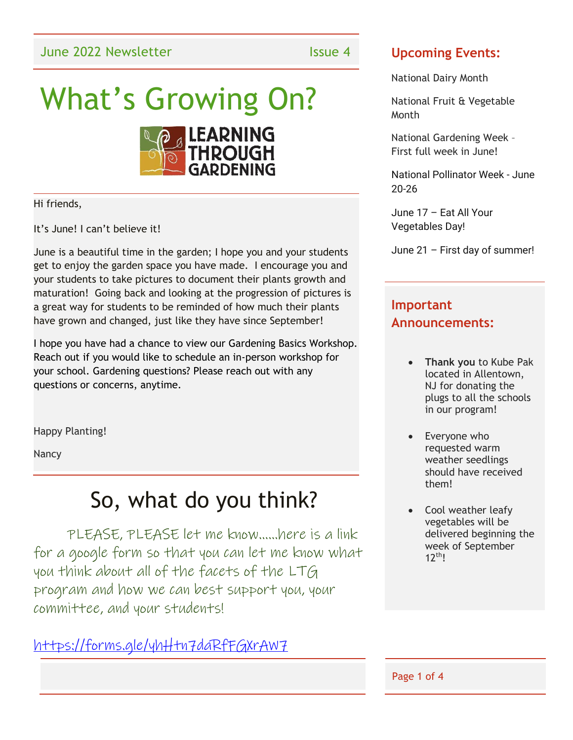# What's Growing On?



Hi friends,

It's June! I can't believe it!

June is a beautiful time in the garden; I hope you and your students get to enjoy the garden space you have made. I encourage you and your students to take pictures to document their plants growth and maturation! Going back and looking at the progression of pictures is a great way for students to be reminded of how much their plants have grown and changed, just like they have since September!

I hope you have had a chance to view our Gardening Basics Workshop. Reach out if you would like to schedule an in-person workshop for your school. Gardening questions? Please reach out with any questions or concerns, anytime.

Happy Planting!

Nancy

### So, what do you think?

PLEASE, PLEASE let me know……here is a link for a google form so that you can let me know what you think about all of the facets of the LTG program and how we can best support you, your committee, and your students!

<https://forms.gle/yhHtn7daRfFGXrAW7>

#### **Upcoming Events:**

National Dairy Month

National Fruit & Vegetable Month

National Gardening Week – First full week in June!

National Pollinator Week - June 20-26

June 17 – Eat All Your Vegetables Day!

June 21 – First day of summer!

#### **Important Announcements:**

- **Thank you** to Kube Pak located in Allentown, NJ for donating the plugs to all the schools in our program!
- Everyone who requested warm weather seedlings should have received them!
- Cool weather leafy vegetables will be delivered beginning the week of September  $12<sup>th</sup>$

Page 1 of 4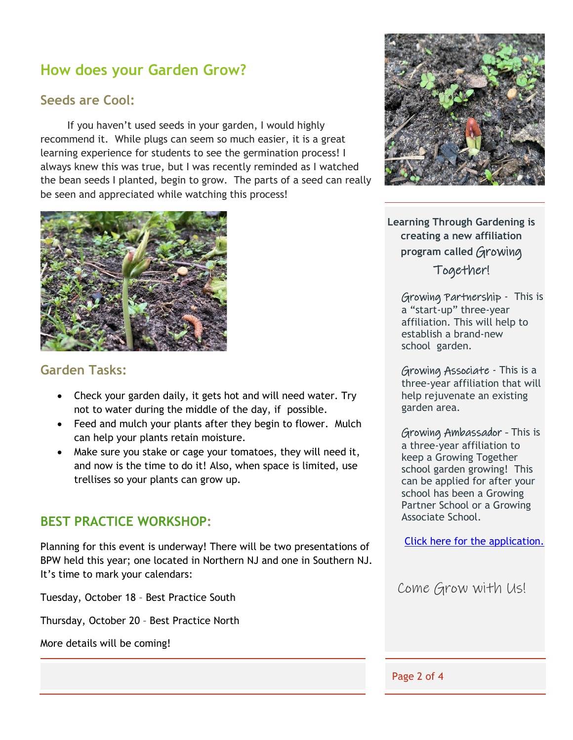### **How does your Garden Grow?**

#### **Seeds are Cool:**

If you haven't used seeds in your garden, I would highly recommend it. While plugs can seem so much easier, it is a great learning experience for students to see the germination process! I always knew this was true, but I was recently reminded as I watched the bean seeds I planted, begin to grow. The parts of a seed can really be seen and appreciated while watching this process!



#### **Garden Tasks:**

- Check your garden daily, it gets hot and will need water. Try not to water during the middle of the day, if possible.
- Feed and mulch your plants after they begin to flower. Mulch can help your plants retain moisture.
- Make sure you stake or cage your tomatoes, they will need it, and now is the time to do it! Also, when space is limited, use trellises so your plants can grow up.

#### **BEST PRACTICE WORKSHOP:**

Planning for this event is underway! There will be two presentations of BPW held this year; one located in Northern NJ and one in Southern NJ. It's time to mark your calendars:

Tuesday, October 18 – Best Practice South

Thursday, October 20 – Best Practice North

More details will be coming!



**Learning Through Gardening is creating a new affiliation program called** Growing Together!

Growing Partnership - This is a "start-up" three-year affiliation. This will help to establish a brand-new school garden.

Growing Associate - This is a three-year affiliation that will help rejuvenate an existing garden area.

Growing Ambassador - This is a three-year affiliation to keep a Growing Together school garden growing! This can be applied for after your school has been a Growing Partner School or a Growing Associate School.

[Click here for the application.](../Downloads/Ambassador%20Application%20.pdf)

Come Grow with Us!

Page 2 of 4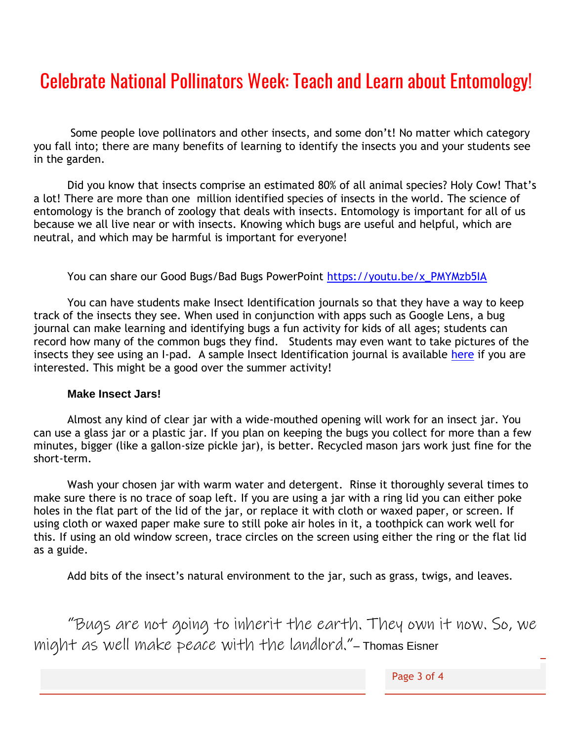### Celebrate National Pollinators Week: Teach and Learn about Entomology!

Some people love pollinators and other insects, and some don't! No matter which category you fall into; there are many benefits of learning to identify the insects you and your students see in the garden.

Did you know that insects comprise an estimated 80% of all animal species? Holy Cow! That's a lot! There are more than one million identified species of insects in the world. The science of entomology is the branch of zoology that deals with insects. Entomology is important for all of us because we all live near or with insects. Knowing which bugs are useful and helpful, which are neutral, and which may be harmful is important for everyone!

#### You can share our Good Bugs/Bad Bugs PowerPoint [https://youtu.be/x\\_PMYMzb5IA](https://youtu.be/x_PMYMzb5IA)

You can have students make Insect Identification journals so that they have a way to keep track of the insects they see. When used in conjunction with apps such as Google Lens, a bug journal can make learning and identifying bugs a fun activity for kids of all ages; students can record how many of the common bugs they find. Students may even want to take pictures of the insects they see using an I-pad. A sample Insect Identification journal is available [here](../Downloads/My%20Insect%20Identification%20Journal.pdf) if you are interested. This might be a good over the summer activity!

#### **Make Insect Jars!**

Almost any kind of clear jar with a wide-mouthed opening will work for an insect jar. You can use a glass jar or a plastic jar. If you plan on keeping the bugs you collect for more than a few minutes, bigger (like a gallon-size pickle jar), is better. Recycled mason jars work just fine for the short-term.

Wash your chosen jar with warm water and detergent. Rinse it thoroughly several times to make sure there is no trace of soap left. If you are using a jar with a ring lid you can either poke holes in the flat part of the lid of the jar, or replace it with cloth or waxed paper, or screen. If using cloth or waxed paper make sure to still poke air holes in it, a toothpick can work well for this. If using an old window screen, trace circles on the screen using either the ring or the flat lid as a guide.

Add bits of the insect's natural environment to the jar, such as grass, twigs, and leaves.

"Bugs are not going to inherit the earth. They own it now. So, we might as well make peace with the landlord."– Thomas Eisner